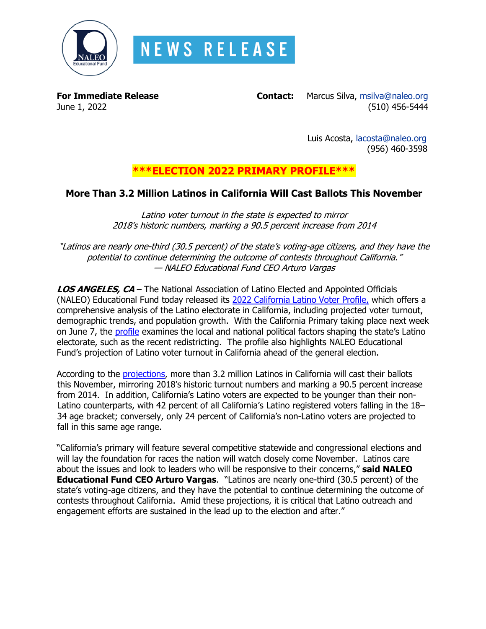

**For Immediate Release Contact:** Marcus Silva, [msilva@naleo.org](mailto:msilva@naleo.org) June 1, 2022(510) 456-5444

> Luis Acosta, [lacosta@naleo.org](mailto:lacosta@naleo.org) (956) 460-3598

# **\*\*\*ELECTION 2022 PRIMARY PROFILE\*\*\***

## **More Than 3.2 Million Latinos in California Will Cast Ballots This November**

Latino voter turnout in the state is expected to mirror 2018's historic numbers, marking a 90.5 percent increase from 2014

"Latinos are nearly one-third (30.5 percent) of the state's voting-age citizens, and they have the potential to continue determining the outcome of contests throughout California." — NALEO Educational Fund CEO Arturo Vargas

**LOS ANGELES, CA** – The National Association of Latino Elected and Appointed Officials (NALEO) Educational Fund today released its [2022 California Latino Voter Profile,](https://bit.ly/CA22Profile) which offers a comprehensive analysis of the Latino electorate in California, including projected voter turnout, demographic trends, and population growth. With the California Primary taking place next week on June 7, the [profile](https://bit.ly/CA22Profile) examines the local and national political factors shaping the state's Latino electorate, such as the recent redistricting. The profile also highlights NALEO Educational Fund's projection of Latino voter turnout in California ahead of the general election.

According to the **projections**, more than 3.2 million Latinos in California will cast their ballots this November, mirroring 2018's historic turnout numbers and marking a 90.5 percent increase from 2014. In addition, California's Latino voters are expected to be younger than their non-Latino counterparts, with 42 percent of all California's Latino registered voters falling in the 18– 34 age bracket; conversely, only 24 percent of California's non-Latino voters are projected to fall in this same age range.

"California's primary will feature several competitive statewide and congressional elections and will lay the foundation for races the nation will watch closely come November. Latinos care about the issues and look to leaders who will be responsive to their concerns," **said NALEO Educational Fund CEO Arturo Vargas**. "Latinos are nearly one-third (30.5 percent) of the state's voting-age citizens, and they have the potential to continue determining the outcome of contests throughout California. Amid these projections, it is critical that Latino outreach and engagement efforts are sustained in the lead up to the election and after."